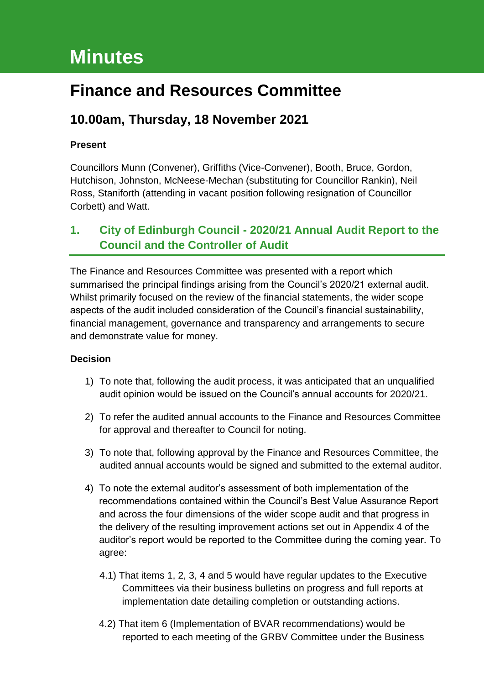# **Minutes**

## **Finance and Resources Committee**

## **10.00am, Thursday, 18 November 2021**

#### **Present**

Councillors Munn (Convener), Griffiths (Vice-Convener), Booth, Bruce, Gordon, Hutchison, Johnston, McNeese-Mechan (substituting for Councillor Rankin), Neil Ross, Staniforth (attending in vacant position following resignation of Councillor Corbett) and Watt.

## **1. City of Edinburgh Council - 2020/21 Annual Audit Report to the Council and the Controller of Audit**

The Finance and Resources Committee was presented with a report which summarised the principal findings arising from the Council's 2020/21 external audit. Whilst primarily focused on the review of the financial statements, the wider scope aspects of the audit included consideration of the Council's financial sustainability, financial management, governance and transparency and arrangements to secure and demonstrate value for money.

#### **Decision**

- 1) To note that, following the audit process, it was anticipated that an unqualified audit opinion would be issued on the Council's annual accounts for 2020/21.
- 2) To refer the audited annual accounts to the Finance and Resources Committee for approval and thereafter to Council for noting.
- 3) To note that, following approval by the Finance and Resources Committee, the audited annual accounts would be signed and submitted to the external auditor.
- 4) To note the external auditor's assessment of both implementation of the recommendations contained within the Council's Best Value Assurance Report and across the four dimensions of the wider scope audit and that progress in the delivery of the resulting improvement actions set out in Appendix 4 of the auditor's report would be reported to the Committee during the coming year. To agree:
	- 4.1) That items 1, 2, 3, 4 and 5 would have regular updates to the Executive Committees via their business bulletins on progress and full reports at implementation date detailing completion or outstanding actions.
	- 4.2) That item 6 (Implementation of BVAR recommendations) would be reported to each meeting of the GRBV Committee under the Business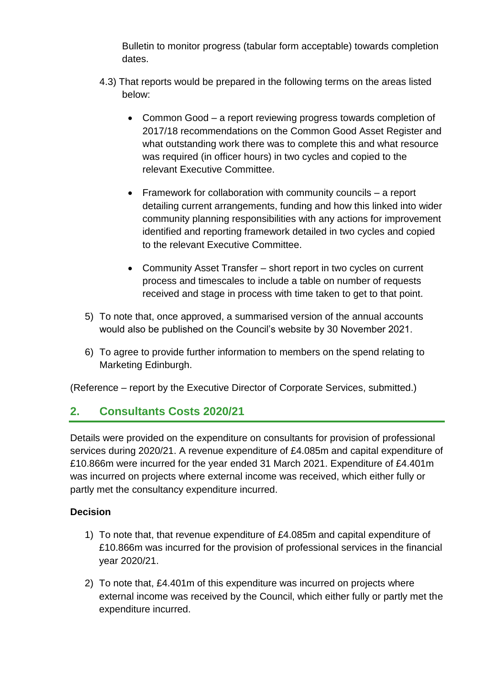Bulletin to monitor progress (tabular form acceptable) towards completion dates.

- 4.3) That reports would be prepared in the following terms on the areas listed below:
	- Common Good a report reviewing progress towards completion of 2017/18 recommendations on the Common Good Asset Register and what outstanding work there was to complete this and what resource was required (in officer hours) in two cycles and copied to the relevant Executive Committee.
	- Framework for collaboration with community councils a report detailing current arrangements, funding and how this linked into wider community planning responsibilities with any actions for improvement identified and reporting framework detailed in two cycles and copied to the relevant Executive Committee.
	- Community Asset Transfer short report in two cycles on current process and timescales to include a table on number of requests received and stage in process with time taken to get to that point.
- 5) To note that, once approved, a summarised version of the annual accounts would also be published on the Council's website by 30 November 2021.
- 6) To agree to provide further information to members on the spend relating to Marketing Edinburgh.

(Reference – report by the Executive Director of Corporate Services, submitted.)

## **2. Consultants Costs 2020/21**

Details were provided on the expenditure on consultants for provision of professional services during 2020/21. A revenue expenditure of £4.085m and capital expenditure of £10.866m were incurred for the year ended 31 March 2021. Expenditure of £4.401m was incurred on projects where external income was received, which either fully or partly met the consultancy expenditure incurred.

#### **Decision**

- 1) To note that, that revenue expenditure of £4.085m and capital expenditure of £10.866m was incurred for the provision of professional services in the financial year 2020/21.
- 2) To note that, £4.401m of this expenditure was incurred on projects where external income was received by the Council, which either fully or partly met the expenditure incurred.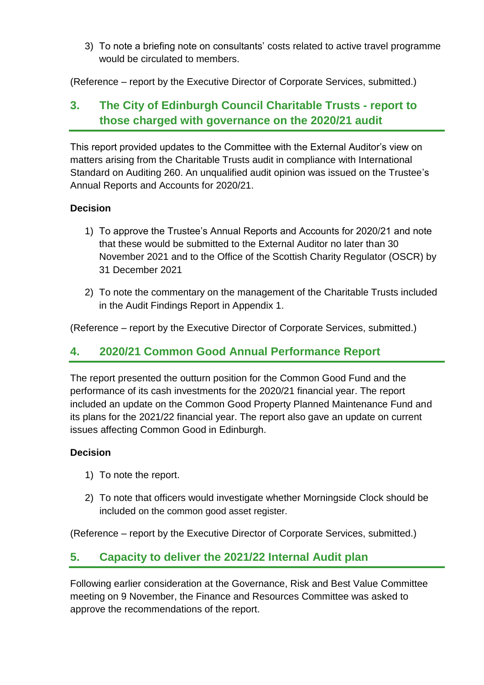3) To note a briefing note on consultants' costs related to active travel programme would be circulated to members.

(Reference – report by the Executive Director of Corporate Services, submitted.)

## **3. The City of Edinburgh Council Charitable Trusts - report to those charged with governance on the 2020/21 audit**

This report provided updates to the Committee with the External Auditor's view on matters arising from the Charitable Trusts audit in compliance with International Standard on Auditing 260. An unqualified audit opinion was issued on the Trustee's Annual Reports and Accounts for 2020/21.

#### **Decision**

- 1) To approve the Trustee's Annual Reports and Accounts for 2020/21 and note that these would be submitted to the External Auditor no later than 30 November 2021 and to the Office of the Scottish Charity Regulator (OSCR) by 31 December 2021
- 2) To note the commentary on the management of the Charitable Trusts included in the Audit Findings Report in Appendix 1.

(Reference – report by the Executive Director of Corporate Services, submitted.)

### **4. 2020/21 Common Good Annual Performance Report**

The report presented the outturn position for the Common Good Fund and the performance of its cash investments for the 2020/21 financial year. The report included an update on the Common Good Property Planned Maintenance Fund and its plans for the 2021/22 financial year. The report also gave an update on current issues affecting Common Good in Edinburgh.

#### **Decision**

- 1) To note the report.
- 2) To note that officers would investigate whether Morningside Clock should be included on the common good asset register.

(Reference – report by the Executive Director of Corporate Services, submitted.)

## **5. Capacity to deliver the 2021/22 Internal Audit plan**

Following earlier consideration at the Governance, Risk and Best Value Committee meeting on 9 November, the Finance and Resources Committee was asked to approve the recommendations of the report.